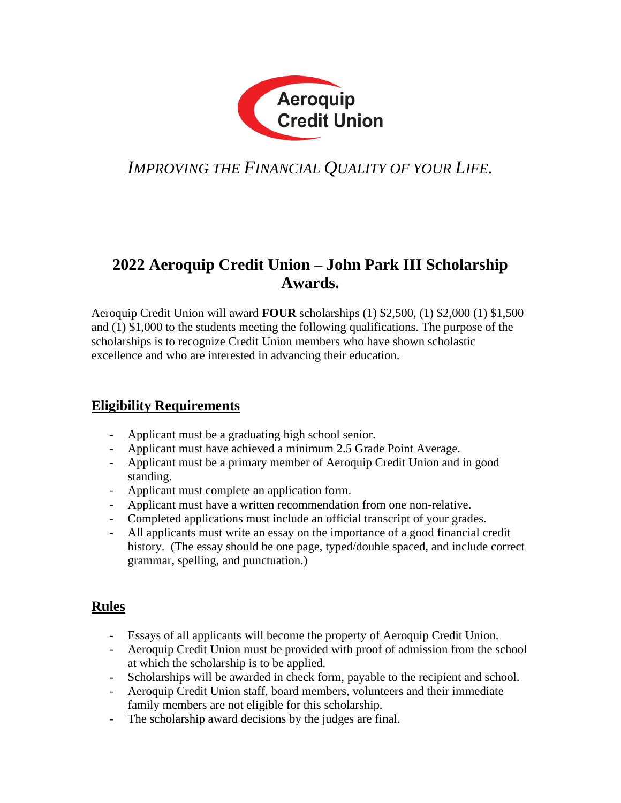

# *IMPROVING THE FINANCIAL QUALITY OF YOUR LIFE.*

### **2022 Aeroquip Credit Union – John Park III Scholarship Awards.**

Aeroquip Credit Union will award **FOUR** scholarships (1) \$2,500, (1) \$2,000 (1) \$1,500 and (1) \$1,000 to the students meeting the following qualifications. The purpose of the scholarships is to recognize Credit Union members who have shown scholastic excellence and who are interested in advancing their education.

### **Eligibility Requirements**

- Applicant must be a graduating high school senior.
- Applicant must have achieved a minimum 2.5 Grade Point Average.
- Applicant must be a primary member of Aeroquip Credit Union and in good standing.
- Applicant must complete an application form.
- Applicant must have a written recommendation from one non-relative.
- Completed applications must include an official transcript of your grades.
- All applicants must write an essay on the importance of a good financial credit history. (The essay should be one page, typed/double spaced, and include correct grammar, spelling, and punctuation.)

### **Rules**

- Essays of all applicants will become the property of Aeroquip Credit Union.
- Aeroquip Credit Union must be provided with proof of admission from the school at which the scholarship is to be applied.
- Scholarships will be awarded in check form, payable to the recipient and school.
- Aeroquip Credit Union staff, board members, volunteers and their immediate family members are not eligible for this scholarship.
- The scholarship award decisions by the judges are final.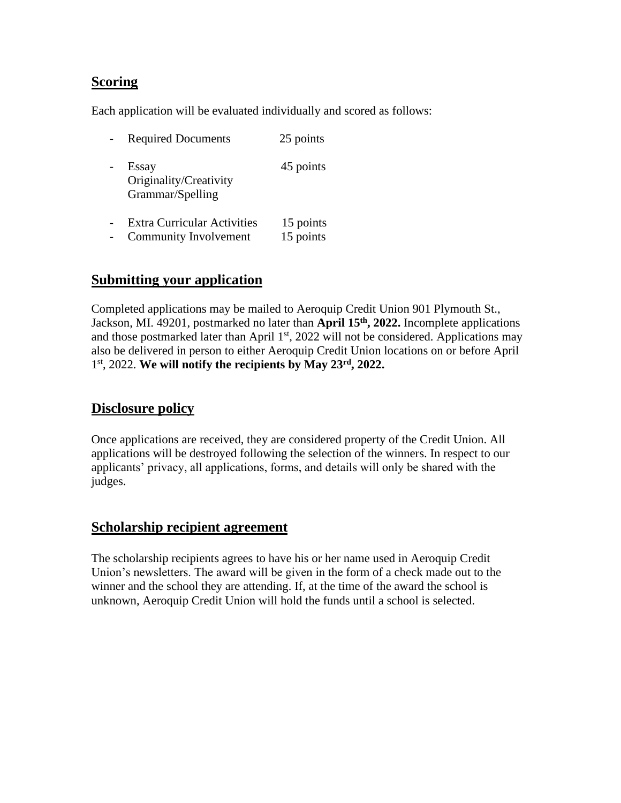#### **Scoring**

Each application will be evaluated individually and scored as follows:

| <b>Required Documents</b>                           | 25 points |
|-----------------------------------------------------|-----------|
| Essay<br>Originality/Creativity<br>Grammar/Spelling | 45 points |
| <b>Extra Curricular Activities</b>                  | 15 points |
| <b>Community Involvement</b>                        | 15 points |

#### **Submitting your application**

Completed applications may be mailed to Aeroquip Credit Union 901 Plymouth St., Jackson, MI. 49201, postmarked no later than **April 15th, 2022.** Incomplete applications and those postmarked later than April 1<sup>st</sup>, 2022 will not be considered. Applications may also be delivered in person to either Aeroquip Credit Union locations on or before April 1st, 2022. **We will notify the recipients by May 23rd, 2022.**

#### **Disclosure policy**

Once applications are received, they are considered property of the Credit Union. All applications will be destroyed following the selection of the winners. In respect to our applicants' privacy, all applications, forms, and details will only be shared with the judges.

#### **Scholarship recipient agreement**

The scholarship recipients agrees to have his or her name used in Aeroquip Credit Union's newsletters. The award will be given in the form of a check made out to the winner and the school they are attending. If, at the time of the award the school is unknown, Aeroquip Credit Union will hold the funds until a school is selected.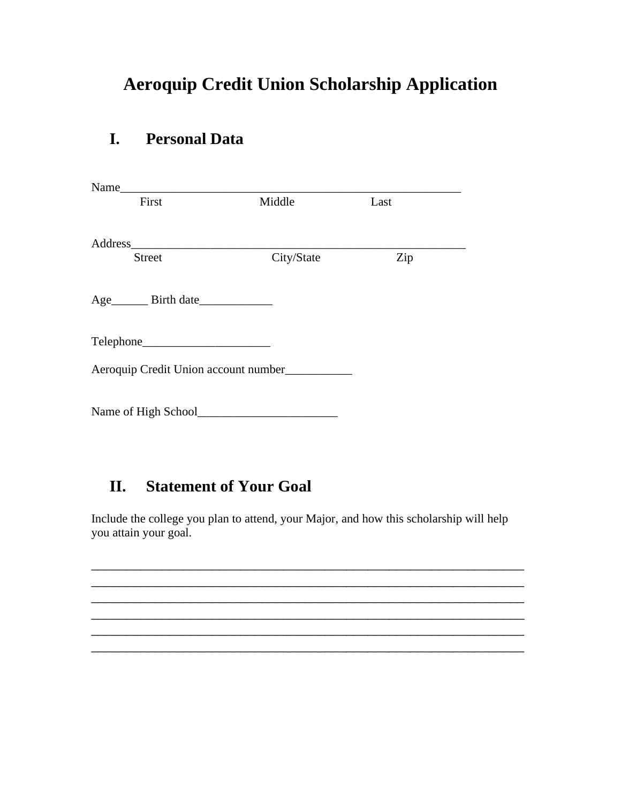# **Aeroquip Credit Union Scholarship Application**

## **I. Personal Data**

| Name                                           |            |      |  |
|------------------------------------------------|------------|------|--|
| First                                          | Middle     | Last |  |
|                                                |            |      |  |
|                                                |            |      |  |
| <b>Street</b>                                  | City/State | Zip  |  |
|                                                |            |      |  |
|                                                |            |      |  |
|                                                |            |      |  |
|                                                |            |      |  |
|                                                |            |      |  |
| Aeroquip Credit Union account number__________ |            |      |  |
|                                                |            |      |  |
|                                                |            |      |  |
|                                                |            |      |  |

# **II. Statement of Your Goal**

Include the college you plan to attend, your Major, and how this scholarship will help you attain your goal.